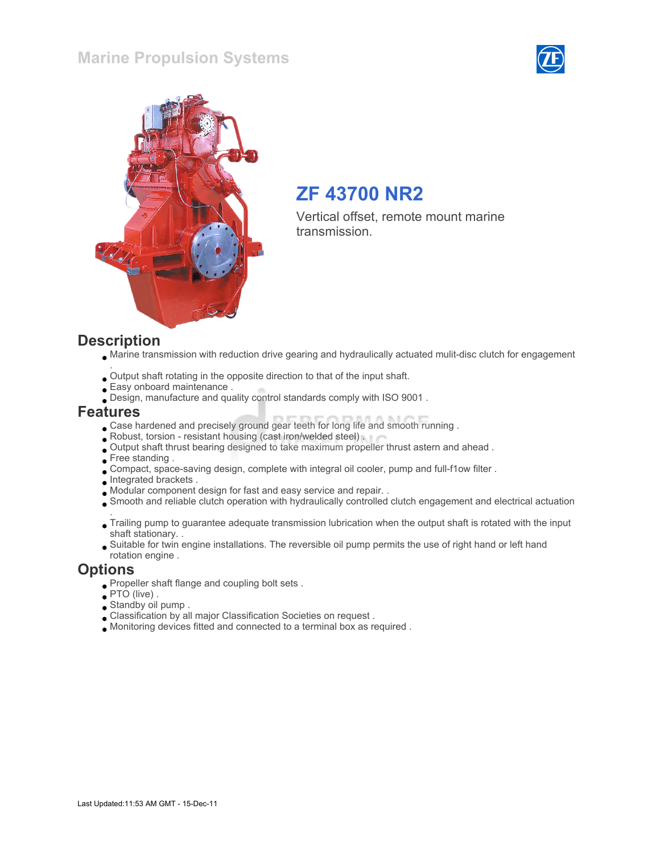### Marine Propulsion Systems





## ZF 43700 NR2

Vertical offset, remote mount marine transmission.

#### **Description**

- Marine transmission with reduction drive gearing and hydraulically actuated mulit-disc clutch for engagement
- . Output shaft rotating in the opposite direction to that of the input shaft.
- Easy onboard maintenance .
- Design, manufacture and quality control standards comply with ISO 9001 .

#### Features

- Case hardened and precisely ground gear teeth for long life and smooth running .
- Robust, torsion resistant housing (cast iron/welded steel) .
- Output shaft thrust bearing designed to take maximum propeller thrust astern and ahead .
- Free standing.
- Compact, space-saving design, complete with integral oil cooler, pump and full-f1ow filter .
- **Integrated brackets.**
- Modular component design for fast and easy service and repair. .
- Smooth and reliable clutch operation with hydraulically controlled clutch engagement and electrical actuation
- . Trailing pump to guarantee adequate transmission lubrication when the output shaft is rotated with the input shaft stationary. .
- Suitable for twin engine installations. The reversible oil pump permits the use of right hand or left hand rotation engine .

#### **Options**

- Propeller shaft flange and coupling bolt sets .
- $PTO$  (live).
- Standby oil pump .
- Classification by all major Classification Societies on request .
- Monitoring devices fitted and connected to a terminal box as required .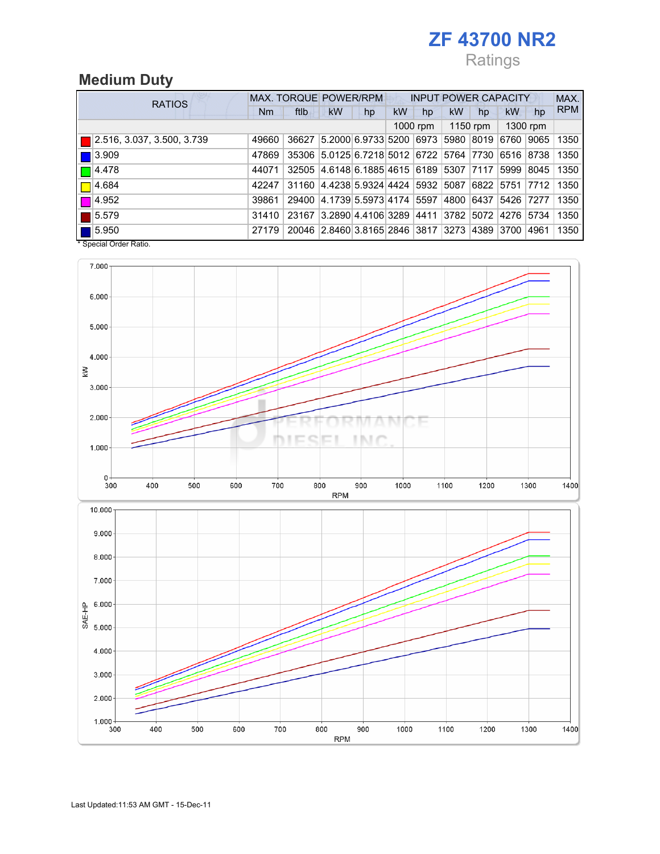# ZF 43700 NR2

# Ratings

# Medium Duty

|  | <b>RATIOS</b>                     | <b>MAX. TORQUE POWER/RPM</b> |       |                                                   |    | <b>INPUT POWER CAPACITY</b> |    |           |    |                           | MAX.  |            |  |
|--|-----------------------------------|------------------------------|-------|---------------------------------------------------|----|-----------------------------|----|-----------|----|---------------------------|-------|------------|--|
|  |                                   | Nm                           | ftlb  | <b>kW</b>                                         | hp | <b>kW</b>                   | hp | <b>kW</b> | hp | kW                        | hp    | <b>RPM</b> |  |
|  |                                   |                              |       |                                                   |    |                             |    | 1150 rpm  |    | 1300 rpm                  |       |            |  |
|  | $\Box$ 2.516, 3.037, 3.500, 3.739 | 49660                        | 36627 | 5.2000 6.9733 5200 6973                           |    |                             |    |           |    | 5980 8019 6760            | 9065  | 1350       |  |
|  | $\blacksquare$ 3.909              | 47869                        |       | 35306 5.0125 6.7218 5012 6722 5764 7730 6516 8738 |    |                             |    |           |    |                           |       | 1350       |  |
|  | $\Box$ 4.478                      | 44071                        | 32505 | 4.6148 6.1885 4615 6189 5307 7117                 |    |                             |    |           |    | 5999                      | 8045  | 1350       |  |
|  | $\Box$ 4.684                      | 42247                        | 31160 | 4.4238 5.9324 4424  5932  5087  6822  5751  7712  |    |                             |    |           |    |                           |       | 1350       |  |
|  | $\Box$ 4.952                      | 39861                        | 29400 | 4.1739 5.5973 4174  5597                          |    |                             |    |           |    | 4800   6437   5426   7277 |       | 1350       |  |
|  | $\blacksquare$ 5.579              | 31410                        | 23167 | 3.2890 4.4106 3289 4411                           |    |                             |    |           |    | 3782 5072 4276 5734       |       | 1350       |  |
|  | $\blacksquare$ 5.950              | 27179                        |       | 20046 2.8460 3.8165 2846 3817 3273 4389 3700      |    |                             |    |           |    |                           | 14961 | 1350       |  |

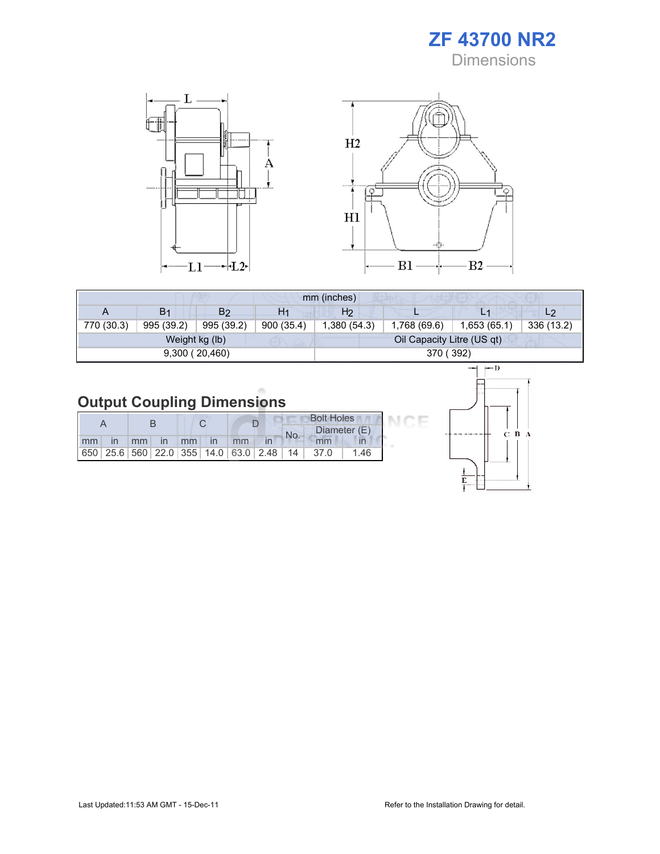ZF 43700 NR2 **Dimensions** 



| mm (inches) |                          |                |                |                            |              |              |                |  |  |  |
|-------------|--------------------------|----------------|----------------|----------------------------|--------------|--------------|----------------|--|--|--|
| A           | B <sub>1</sub>           | B2             | H <sub>1</sub> | H2                         |              |              | L <sub>2</sub> |  |  |  |
| 770 (30.3)  | 995 (39.2)<br>995 (39.2) |                | 900 (35.4)     | 1,380 (54.3)               | 1,768 (69.6) | 1,653 (65.1) | 336 (13.2)     |  |  |  |
|             |                          | Weight kg (lb) |                | Oil Capacity Litre (US qt) |              |              |                |  |  |  |
|             |                          | 9,300(20,460)  |                | 370 (392)                  |              |              |                |  |  |  |

# Output Coupling Dimensions

|    |  |       |              |    |  |    |                                                         |              | <b>Bolt Holes</b> |     |
|----|--|-------|--------------|----|--|----|---------------------------------------------------------|--------------|-------------------|-----|
|    |  |       |              |    |  |    | No.                                                     | Diameter (E) |                   |     |
| mm |  | $-mm$ | $\mathsf{I}$ | mm |  | mm |                                                         |              | mm                |     |
|    |  |       |              |    |  |    | 650   25.6   560   22.0   355   14.0   63.0   2.48   14 |              | 37.0              | -46 |